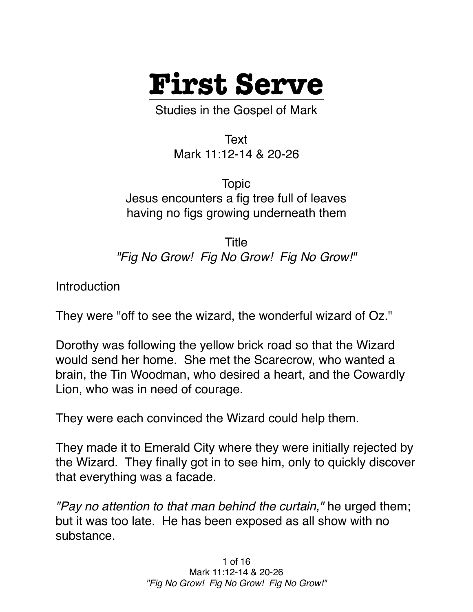

Studies in the Gospel of Mark

Text Mark 11:12-14 & 20-26

Topic Jesus encounters a fig tree full of leaves having no figs growing underneath them

Title *"Fig No Grow! Fig No Grow! Fig No Grow!"*

Introduction

They were "off to see the wizard, the wonderful wizard of Oz."

Dorothy was following the yellow brick road so that the Wizard would send her home. She met the Scarecrow, who wanted a brain, the Tin Woodman, who desired a heart, and the Cowardly Lion, who was in need of courage.

They were each convinced the Wizard could help them.

They made it to Emerald City where they were initially rejected by the Wizard. They finally got in to see him, only to quickly discover that everything was a facade.

*"Pay no attention to that man behind the curtain,"* he urged them; but it was too late. He has been exposed as all show with no substance.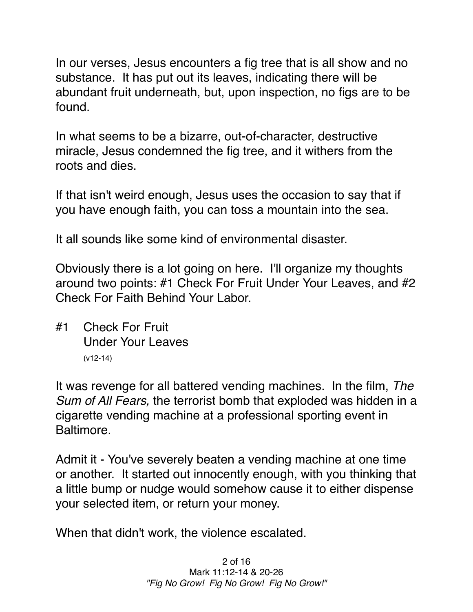In our verses, Jesus encounters a fig tree that is all show and no substance. It has put out its leaves, indicating there will be abundant fruit underneath, but, upon inspection, no figs are to be found.

In what seems to be a bizarre, out-of-character, destructive miracle, Jesus condemned the fig tree, and it withers from the roots and dies.

If that isn't weird enough, Jesus uses the occasion to say that if you have enough faith, you can toss a mountain into the sea.

It all sounds like some kind of environmental disaster.

Obviously there is a lot going on here. I'll organize my thoughts around two points: #1 Check For Fruit Under Your Leaves, and #2 Check For Faith Behind Your Labor.

#1 Check For Fruit Under Your Leaves (v12-14)

It was revenge for all battered vending machines. In the film, *The Sum of All Fears,* the terrorist bomb that exploded was hidden in a cigarette vending machine at a professional sporting event in Baltimore.

Admit it - You've severely beaten a vending machine at one time or another. It started out innocently enough, with you thinking that a little bump or nudge would somehow cause it to either dispense your selected item, or return your money.

When that didn't work, the violence escalated.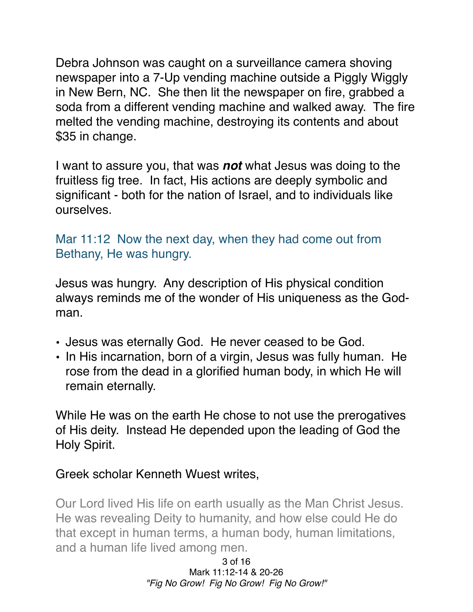Debra Johnson was caught on a surveillance camera shoving newspaper into a 7-Up vending machine outside a Piggly Wiggly in New Bern, NC. She then lit the newspaper on fire, grabbed a soda from a different vending machine and walked away. The fire melted the vending machine, destroying its contents and about \$35 in change.

I want to assure you, that was *not* what Jesus was doing to the fruitless fig tree. In fact, His actions are deeply symbolic and significant - both for the nation of Israel, and to individuals like ourselves.

Mar 11:12 Now the next day, when they had come out from Bethany, He was hungry.

Jesus was hungry. Any description of His physical condition always reminds me of the wonder of His uniqueness as the Godman.

- Jesus was eternally God. He never ceased to be God.
- In His incarnation, born of a virgin, Jesus was fully human. He rose from the dead in a glorified human body, in which He will remain eternally.

While He was on the earth He chose to not use the prerogatives of His deity. Instead He depended upon the leading of God the Holy Spirit.

Greek scholar Kenneth Wuest writes,

Our Lord lived His life on earth usually as the Man Christ Jesus. He was revealing Deity to humanity, and how else could He do that except in human terms, a human body, human limitations, and a human life lived among men.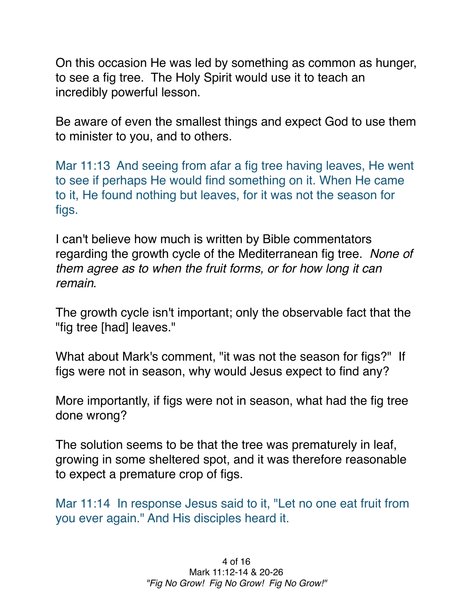On this occasion He was led by something as common as hunger, to see a fig tree. The Holy Spirit would use it to teach an incredibly powerful lesson.

Be aware of even the smallest things and expect God to use them to minister to you, and to others.

Mar 11:13 And seeing from afar a fig tree having leaves, He went to see if perhaps He would find something on it. When He came to it, He found nothing but leaves, for it was not the season for figs.

I can't believe how much is written by Bible commentators regarding the growth cycle of the Mediterranean fig tree. *None of them agree as to when the fruit forms, or for how long it can remain.*

The growth cycle isn't important; only the observable fact that the "fig tree [had] leaves."

What about Mark's comment, "it was not the season for figs?" If figs were not in season, why would Jesus expect to find any?

More importantly, if figs were not in season, what had the fig tree done wrong?

The solution seems to be that the tree was prematurely in leaf, growing in some sheltered spot, and it was therefore reasonable to expect a premature crop of figs.

Mar 11:14 In response Jesus said to it, "Let no one eat fruit from you ever again." And His disciples heard it.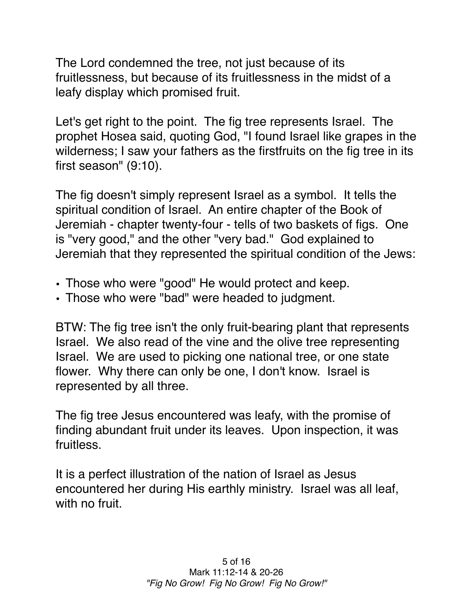The Lord condemned the tree, not just because of its fruitlessness, but because of its fruitlessness in the midst of a leafy display which promised fruit.

Let's get right to the point. The fig tree represents Israel. The prophet Hosea said, quoting God, "I found Israel like grapes in the wilderness; I saw your fathers as the firstfruits on the fig tree in its first season" (9:10).

The fig doesn't simply represent Israel as a symbol. It tells the spiritual condition of Israel. An entire chapter of the Book of Jeremiah - chapter twenty-four - tells of two baskets of figs. One is "very good," and the other "very bad." God explained to Jeremiah that they represented the spiritual condition of the Jews:

- Those who were "good" He would protect and keep.
- Those who were "bad" were headed to judgment.

BTW: The fig tree isn't the only fruit-bearing plant that represents Israel. We also read of the vine and the olive tree representing Israel. We are used to picking one national tree, or one state flower. Why there can only be one, I don't know. Israel is represented by all three.

The fig tree Jesus encountered was leafy, with the promise of finding abundant fruit under its leaves. Upon inspection, it was fruitless.

It is a perfect illustration of the nation of Israel as Jesus encountered her during His earthly ministry. Israel was all leaf, with no fruit.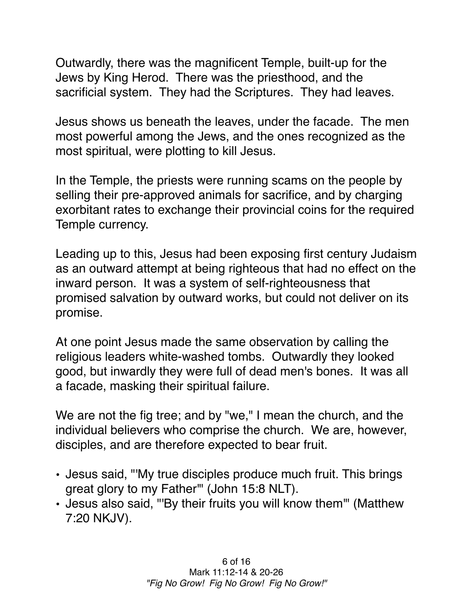Outwardly, there was the magnificent Temple, built-up for the Jews by King Herod. There was the priesthood, and the sacrificial system. They had the Scriptures. They had leaves.

Jesus shows us beneath the leaves, under the facade. The men most powerful among the Jews, and the ones recognized as the most spiritual, were plotting to kill Jesus.

In the Temple, the priests were running scams on the people by selling their pre-approved animals for sacrifice, and by charging exorbitant rates to exchange their provincial coins for the required Temple currency.

Leading up to this, Jesus had been exposing first century Judaism as an outward attempt at being righteous that had no effect on the inward person. It was a system of self-righteousness that promised salvation by outward works, but could not deliver on its promise.

At one point Jesus made the same observation by calling the religious leaders white-washed tombs. Outwardly they looked good, but inwardly they were full of dead men's bones. It was all a facade, masking their spiritual failure.

We are not the fig tree; and by "we," I mean the church, and the individual believers who comprise the church. We are, however, disciples, and are therefore expected to bear fruit.

- Jesus said, "'My true disciples produce much fruit. This brings great glory to my Father'" (John 15:8 NLT).
- Jesus also said, "'By their fruits you will know them'" (Matthew 7:20 NKJV).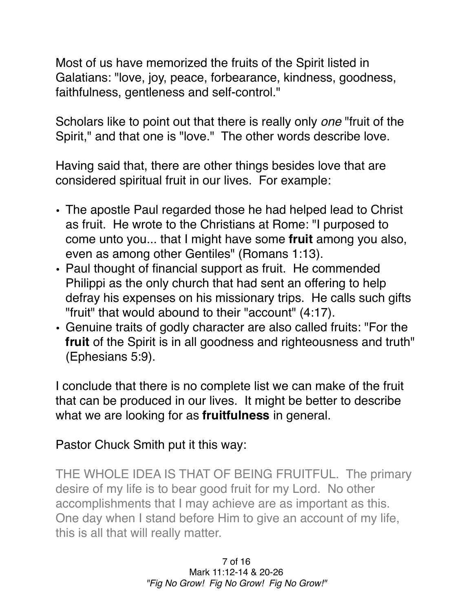Most of us have memorized the fruits of the Spirit listed in Galatians: "love, joy, peace, forbearance, kindness, goodness, faithfulness, gentleness and self-control."

Scholars like to point out that there is really only *one* "fruit of the Spirit," and that one is "love." The other words describe love.

Having said that, there are other things besides love that are considered spiritual fruit in our lives. For example:

- The apostle Paul regarded those he had helped lead to Christ as fruit. He wrote to the Christians at Rome: "I purposed to come unto you... that I might have some **fruit** among you also, even as among other Gentiles" (Romans 1:13).
- Paul thought of financial support as fruit. He commended Philippi as the only church that had sent an offering to help defray his expenses on his missionary trips. He calls such gifts "fruit" that would abound to their "account" (4:17).
- Genuine traits of godly character are also called fruits: "For the **fruit** of the Spirit is in all goodness and righteousness and truth" (Ephesians 5:9).

I conclude that there is no complete list we can make of the fruit that can be produced in our lives. It might be better to describe what we are looking for as **fruitfulness** in general.

Pastor Chuck Smith put it this way:

THE WHOLE IDEA IS THAT OF BEING FRUITFUL. The primary desire of my life is to bear good fruit for my Lord. No other accomplishments that I may achieve are as important as this. One day when I stand before Him to give an account of my life, this is all that will really matter.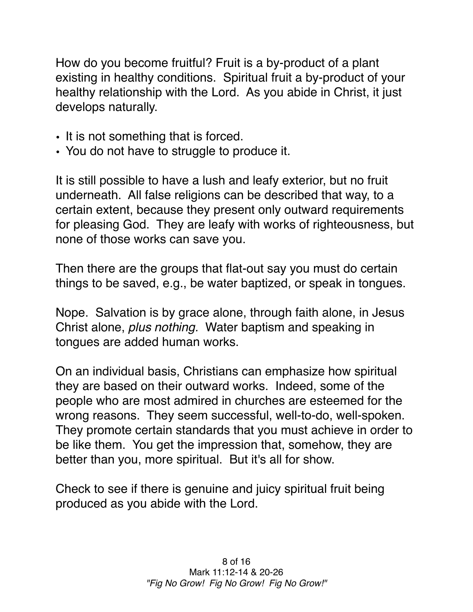How do you become fruitful? Fruit is a by-product of a plant existing in healthy conditions. Spiritual fruit a by-product of your healthy relationship with the Lord. As you abide in Christ, it just develops naturally.

- It is not something that is forced.
- You do not have to struggle to produce it.

It is still possible to have a lush and leafy exterior, but no fruit underneath. All false religions can be described that way, to a certain extent, because they present only outward requirements for pleasing God. They are leafy with works of righteousness, but none of those works can save you.

Then there are the groups that flat-out say you must do certain things to be saved, e.g., be water baptized, or speak in tongues.

Nope. Salvation is by grace alone, through faith alone, in Jesus Christ alone, *plus nothing.* Water baptism and speaking in tongues are added human works.

On an individual basis, Christians can emphasize how spiritual they are based on their outward works. Indeed, some of the people who are most admired in churches are esteemed for the wrong reasons. They seem successful, well-to-do, well-spoken. They promote certain standards that you must achieve in order to be like them. You get the impression that, somehow, they are better than you, more spiritual. But it's all for show.

Check to see if there is genuine and juicy spiritual fruit being produced as you abide with the Lord.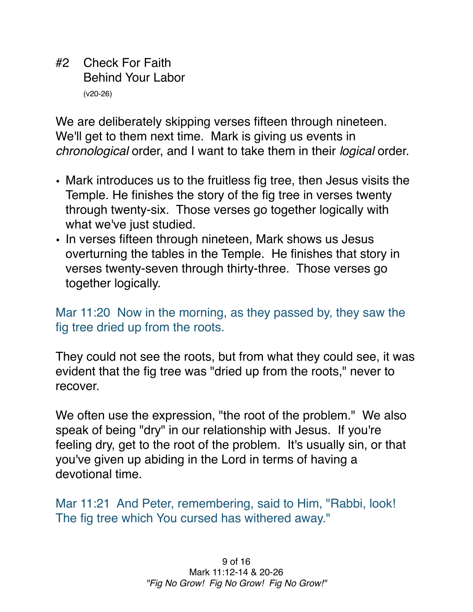#2 Check For Faith Behind Your Labor (v20-26)

We are deliberately skipping verses fifteen through nineteen. We'll get to them next time. Mark is giving us events in *chronological* order, and I want to take them in their *logical* order.

- Mark introduces us to the fruitless fig tree, then Jesus visits the Temple. He finishes the story of the fig tree in verses twenty through twenty-six. Those verses go together logically with what we've just studied.
- In verses fifteen through nineteen, Mark shows us Jesus overturning the tables in the Temple. He finishes that story in verses twenty-seven through thirty-three. Those verses go together logically.

## Mar 11:20 Now in the morning, as they passed by, they saw the fig tree dried up from the roots.

They could not see the roots, but from what they could see, it was evident that the fig tree was "dried up from the roots," never to recover.

We often use the expression, "the root of the problem." We also speak of being "dry" in our relationship with Jesus. If you're feeling dry, get to the root of the problem. It's usually sin, or that you've given up abiding in the Lord in terms of having a devotional time.

Mar 11:21 And Peter, remembering, said to Him, "Rabbi, look! The fig tree which You cursed has withered away."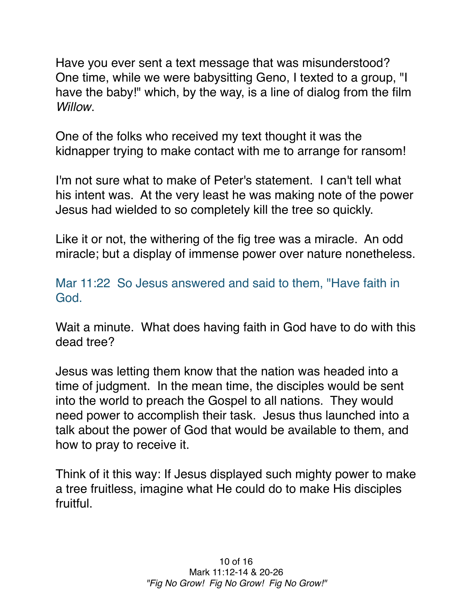Have you ever sent a text message that was misunderstood? One time, while we were babysitting Geno, I texted to a group, "I have the baby!" which, by the way, is a line of dialog from the film *Willow*.

One of the folks who received my text thought it was the kidnapper trying to make contact with me to arrange for ransom!

I'm not sure what to make of Peter's statement. I can't tell what his intent was. At the very least he was making note of the power Jesus had wielded to so completely kill the tree so quickly.

Like it or not, the withering of the fig tree was a miracle. An odd miracle; but a display of immense power over nature nonetheless.

Mar 11:22 So Jesus answered and said to them, "Have faith in God.

Wait a minute. What does having faith in God have to do with this dead tree?

Jesus was letting them know that the nation was headed into a time of judgment. In the mean time, the disciples would be sent into the world to preach the Gospel to all nations. They would need power to accomplish their task. Jesus thus launched into a talk about the power of God that would be available to them, and how to pray to receive it.

Think of it this way: If Jesus displayed such mighty power to make a tree fruitless, imagine what He could do to make His disciples fruitful.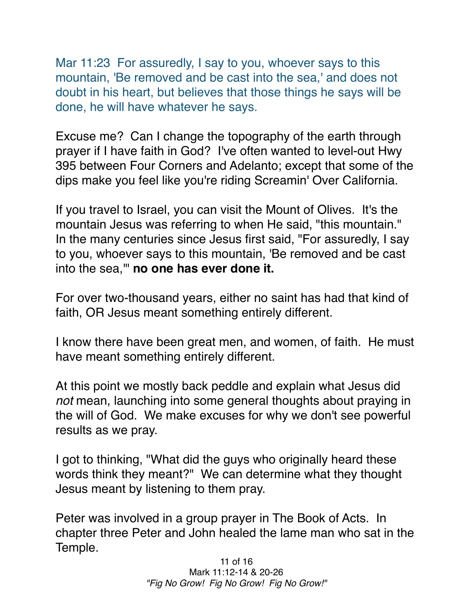Mar 11:23 For assuredly, I say to you, whoever says to this mountain, 'Be removed and be cast into the sea,' and does not doubt in his heart, but believes that those things he says will be done, he will have whatever he says.

Excuse me? Can I change the topography of the earth through prayer if I have faith in God? I've often wanted to level-out Hwy 395 between Four Corners and Adelanto; except that some of the dips make you feel like you're riding Screamin' Over California.

If you travel to Israel, you can visit the Mount of Olives. It's the mountain Jesus was referring to when He said, "this mountain." In the many centuries since Jesus first said, "For assuredly, I say to you, whoever says to this mountain, 'Be removed and be cast into the sea,'" **no one has ever done it.**

For over two-thousand years, either no saint has had that kind of faith, OR Jesus meant something entirely different.

I know there have been great men, and women, of faith. He must have meant something entirely different.

At this point we mostly back peddle and explain what Jesus did *not* mean, launching into some general thoughts about praying in the will of God. We make excuses for why we don't see powerful results as we pray.

I got to thinking, "What did the guys who originally heard these words think they meant?" We can determine what they thought Jesus meant by listening to them pray.

Peter was involved in a group prayer in The Book of Acts. In chapter three Peter and John healed the lame man who sat in the Temple.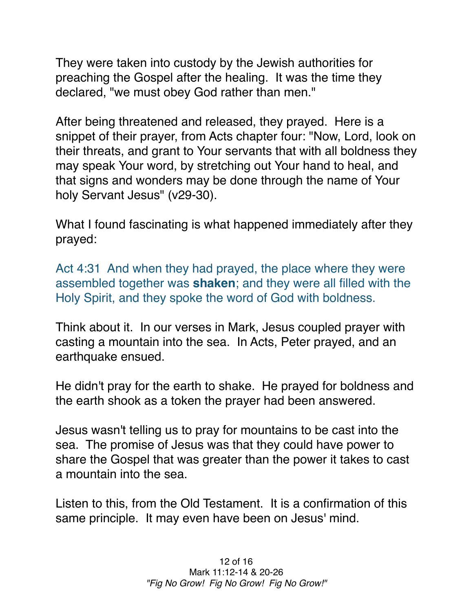They were taken into custody by the Jewish authorities for preaching the Gospel after the healing. It was the time they declared, "we must obey God rather than men."

After being threatened and released, they prayed. Here is a snippet of their prayer, from Acts chapter four: "Now, Lord, look on their threats, and grant to Your servants that with all boldness they may speak Your word, by stretching out Your hand to heal, and that signs and wonders may be done through the name of Your holy Servant Jesus" (v29-30).

What I found fascinating is what happened immediately after they prayed:

Act 4:31 And when they had prayed, the place where they were assembled together was **shaken**; and they were all filled with the Holy Spirit, and they spoke the word of God with boldness.

Think about it. In our verses in Mark, Jesus coupled prayer with casting a mountain into the sea. In Acts, Peter prayed, and an earthquake ensued.

He didn't pray for the earth to shake. He prayed for boldness and the earth shook as a token the prayer had been answered.

Jesus wasn't telling us to pray for mountains to be cast into the sea. The promise of Jesus was that they could have power to share the Gospel that was greater than the power it takes to cast a mountain into the sea.

Listen to this, from the Old Testament. It is a confirmation of this same principle. It may even have been on Jesus' mind.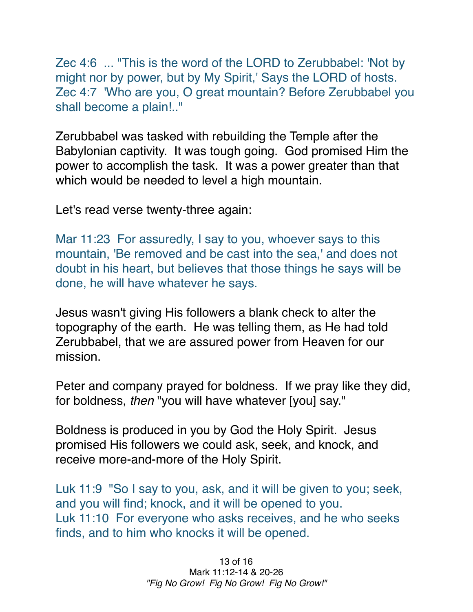Zec 4:6 ... "This is the word of the LORD to Zerubbabel: 'Not by might nor by power, but by My Spirit,' Says the LORD of hosts. Zec 4:7 'Who are you, O great mountain? Before Zerubbabel you shall become a plain!.."

Zerubbabel was tasked with rebuilding the Temple after the Babylonian captivity. It was tough going. God promised Him the power to accomplish the task. It was a power greater than that which would be needed to level a high mountain.

Let's read verse twenty-three again:

Mar 11:23 For assuredly, I say to you, whoever says to this mountain, 'Be removed and be cast into the sea,' and does not doubt in his heart, but believes that those things he says will be done, he will have whatever he says.

Jesus wasn't giving His followers a blank check to alter the topography of the earth. He was telling them, as He had told Zerubbabel, that we are assured power from Heaven for our mission.

Peter and company prayed for boldness. If we pray like they did, for boldness, *then* "you will have whatever [you] say."

Boldness is produced in you by God the Holy Spirit. Jesus promised His followers we could ask, seek, and knock, and receive more-and-more of the Holy Spirit.

Luk 11:9 "So I say to you, ask, and it will be given to you; seek, and you will find; knock, and it will be opened to you. Luk 11:10 For everyone who asks receives, and he who seeks finds, and to him who knocks it will be opened.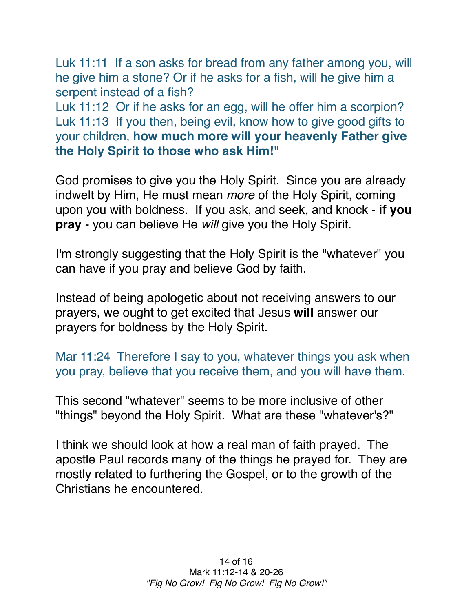Luk 11:11 If a son asks for bread from any father among you, will he give him a stone? Or if he asks for a fish, will he give him a serpent instead of a fish?

Luk 11:12 Or if he asks for an egg, will he offer him a scorpion? Luk 11:13 If you then, being evil, know how to give good gifts to your children, **how much more will your heavenly Father give the Holy Spirit to those who ask Him!"**

God promises to give you the Holy Spirit. Since you are already indwelt by Him, He must mean *more* of the Holy Spirit, coming upon you with boldness. If you ask, and seek, and knock - **if you pray** - you can believe He *will* give you the Holy Spirit.

I'm strongly suggesting that the Holy Spirit is the "whatever" you can have if you pray and believe God by faith.

Instead of being apologetic about not receiving answers to our prayers, we ought to get excited that Jesus **will** answer our prayers for boldness by the Holy Spirit.

Mar 11:24 Therefore I say to you, whatever things you ask when you pray, believe that you receive them, and you will have them.

This second "whatever" seems to be more inclusive of other "things" beyond the Holy Spirit. What are these "whatever's?"

I think we should look at how a real man of faith prayed. The apostle Paul records many of the things he prayed for. They are mostly related to furthering the Gospel, or to the growth of the Christians he encountered.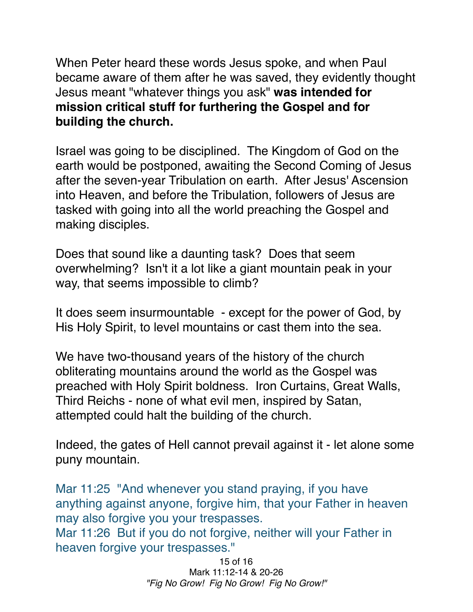When Peter heard these words Jesus spoke, and when Paul became aware of them after he was saved, they evidently thought Jesus meant "whatever things you ask" **was intended for mission critical stuff for furthering the Gospel and for building the church.**

Israel was going to be disciplined. The Kingdom of God on the earth would be postponed, awaiting the Second Coming of Jesus after the seven-year Tribulation on earth. After Jesus' Ascension into Heaven, and before the Tribulation, followers of Jesus are tasked with going into all the world preaching the Gospel and making disciples.

Does that sound like a daunting task? Does that seem overwhelming? Isn't it a lot like a giant mountain peak in your way, that seems impossible to climb?

It does seem insurmountable - except for the power of God, by His Holy Spirit, to level mountains or cast them into the sea.

We have two-thousand years of the history of the church obliterating mountains around the world as the Gospel was preached with Holy Spirit boldness. Iron Curtains, Great Walls, Third Reichs - none of what evil men, inspired by Satan, attempted could halt the building of the church.

Indeed, the gates of Hell cannot prevail against it - let alone some puny mountain.

Mar 11:25 "And whenever you stand praying, if you have anything against anyone, forgive him, that your Father in heaven may also forgive you your trespasses. Mar 11:26 But if you do not forgive, neither will your Father in heaven forgive your trespasses."